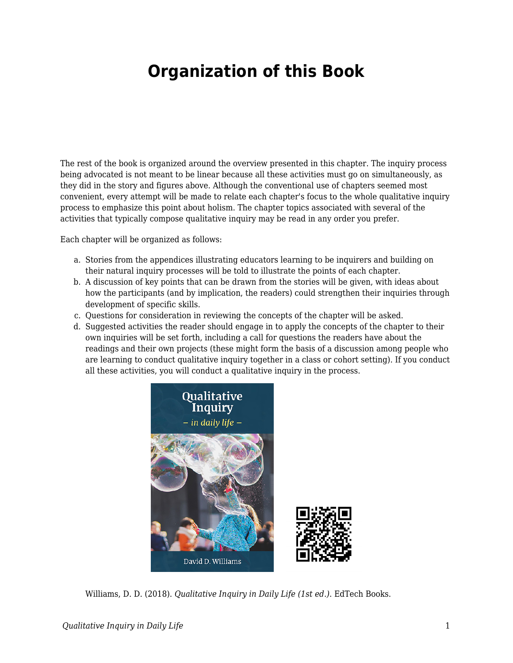## **Organization of this Book**

The rest of the book is organized around the overview presented in this chapter. The inquiry process being advocated is not meant to be linear because all these activities must go on simultaneously, as they did in the story and figures above. Although the conventional use of chapters seemed most convenient, every attempt will be made to relate each chapter's focus to the whole qualitative inquiry process to emphasize this point about holism. The chapter topics associated with several of the activities that typically compose qualitative inquiry may be read in any order you prefer.

Each chapter will be organized as follows:

- a. Stories from the appendices illustrating educators learning to be inquirers and building on their natural inquiry processes will be told to illustrate the points of each chapter.
- b. A discussion of key points that can be drawn from the stories will be given, with ideas about how the participants (and by implication, the readers) could strengthen their inquiries through development of specific skills.
- c. Questions for consideration in reviewing the concepts of the chapter will be asked.
- d. Suggested activities the reader should engage in to apply the concepts of the chapter to their own inquiries will be set forth, including a call for questions the readers have about the readings and their own projects (these might form the basis of a discussion among people who are learning to conduct qualitative inquiry together in a class or cohort setting). If you conduct all these activities, you will conduct a qualitative inquiry in the process.



Williams, D. D. (2018). *Qualitative Inquiry in Daily Life (1st ed.)*. EdTech Books.